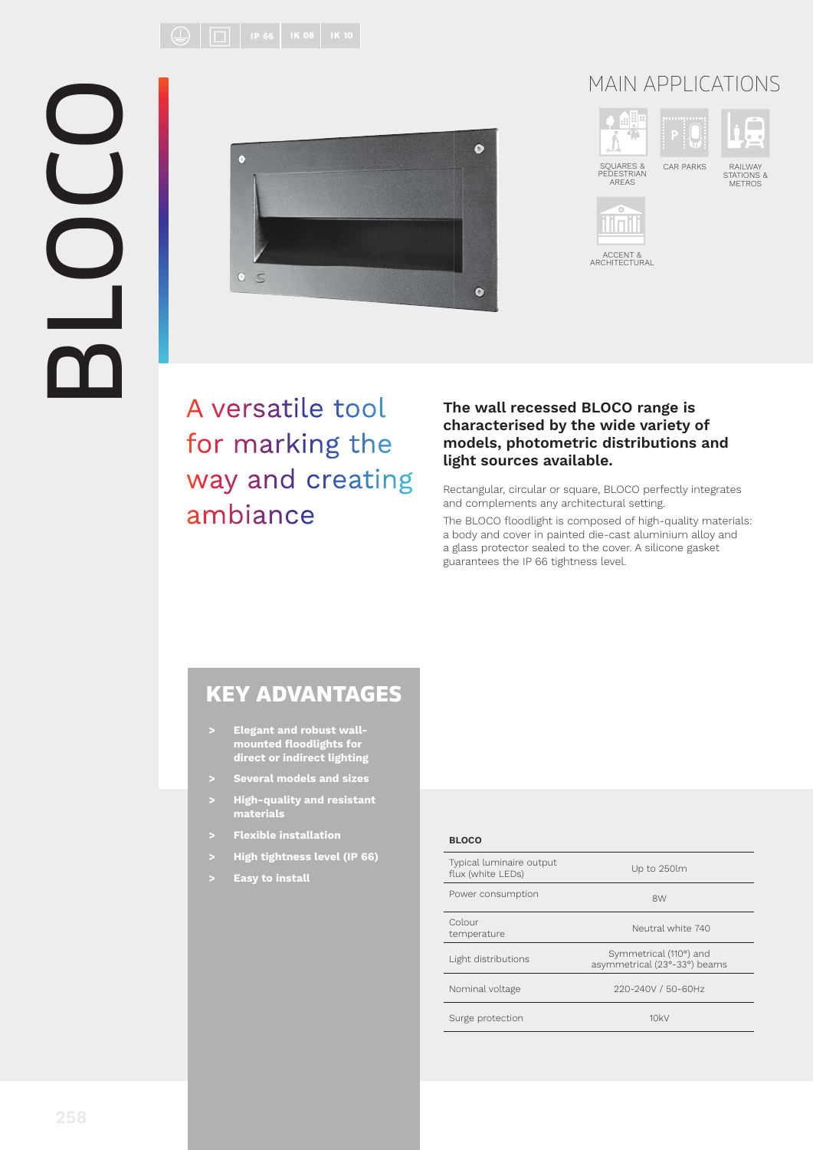BLOCO



## MAIN APPLICATIONS



A versatile tool for marking the way and creating ambiance

#### **The wall recessed BLOCO range is characterised by the wide variety of models, photometric distributions and light sources available.**

Rectangular, circular or square, BLOCO perfectly integrates and complements any architectural setting.

The BLOCO floodlight is composed of high-quality materials: a body and cover in painted die-cast aluminium alloy and a glass protector sealed to the cover. A silicone gasket guarantees the IP 66 tightness level.

### KEY ADVANTAGES

- **> Elegant and robust wallmounted fl oodlights for direct or indirect lighting**
- **> Several models and sizes**
- **> High-quality and resistant materials**
- **> Flexible installation**
- **> High tightness level (IP 66)**
- **> Easy to install**

#### **BLOCO**

| Typical luminaire output<br>flux (white LEDs) | Up to 250lm                                            |
|-----------------------------------------------|--------------------------------------------------------|
| Power consumption                             | 8W                                                     |
| Colour<br>temperature                         | Neutral white 740                                      |
| Light distributions                           | Symmetrical (110°) and<br>asymmetrical (23°-33°) beams |
| Nominal voltage                               | 220-240V / 50-60Hz                                     |
| Surge protection                              | 10kV                                                   |